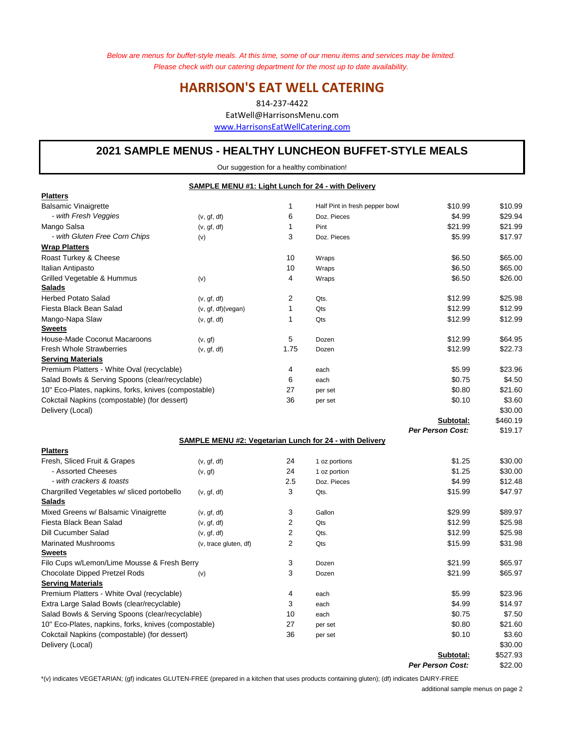*Below are menus for buffet-style meals. At this time, some of our menu items and services may be limited. Please check with our catering department for the most up to date availability.* 

# **HARRISON'S EAT WELL CATERING**

814-237-4422 EatWell@HarrisonsMenu.com www.HarrisonsEatWellCatering.com

# **2021 SAMPLE MENUS - HEALTHY LUNCHEON BUFFET-STYLE MEALS**

Our suggestion for a healthy combination!

|                                                              | SAMPLE MENU #1: Light Lunch for 24 - with Delivery |                |                                                                |                         |          |
|--------------------------------------------------------------|----------------------------------------------------|----------------|----------------------------------------------------------------|-------------------------|----------|
| <b>Platters</b>                                              |                                                    |                |                                                                |                         |          |
| <b>Balsamic Vinaigrette</b>                                  |                                                    | 1              | Half Pint in fresh pepper bowl                                 | \$10.99                 | \$10.99  |
| - with Fresh Veggies                                         | (v, gf, df)                                        | 6              | Doz. Pieces                                                    | \$4.99                  | \$29.94  |
| Mango Salsa                                                  | (v, gf, df)                                        | 1              | Pint                                                           | \$21.99                 | \$21.99  |
| - with Gluten Free Corn Chips                                | (v)                                                | 3              | Doz. Pieces                                                    | \$5.99                  | \$17.97  |
| <b>Wrap Platters</b>                                         |                                                    |                |                                                                |                         |          |
| Roast Turkey & Cheese                                        |                                                    | 10             | Wraps                                                          | \$6.50                  | \$65.00  |
| Italian Antipasto                                            |                                                    | 10             | Wraps                                                          | \$6.50                  | \$65.00  |
| Grilled Vegetable & Hummus<br>Salads                         | (v)                                                | 4              | Wraps                                                          | \$6.50                  | \$26.00  |
| <b>Herbed Potato Salad</b>                                   |                                                    | 2              | Qts.                                                           | \$12.99                 | \$25.98  |
| Fiesta Black Bean Salad                                      | (v, gf, df)<br>(v, gf, df)(vegan)                  | 1              | Qts                                                            | \$12.99                 | \$12.99  |
| Mango-Napa Slaw                                              | (v, gf, df)                                        | 1              | Qts                                                            | \$12.99                 | \$12.99  |
| <b>Sweets</b>                                                |                                                    |                |                                                                |                         |          |
| House-Made Coconut Macaroons                                 | (v, gf)                                            | 5              | Dozen                                                          | \$12.99                 | \$64.95  |
| <b>Fresh Whole Strawberries</b>                              | (v, gf, df)                                        | 1.75           | Dozen                                                          | \$12.99                 | \$22.73  |
| <b>Serving Materials</b>                                     |                                                    |                |                                                                |                         |          |
| Premium Platters - White Oval (recyclable)                   |                                                    | 4              | each                                                           | \$5.99                  | \$23.96  |
| Salad Bowls & Serving Spoons (clear/recyclable)              |                                                    | 6              | each                                                           | \$0.75                  | \$4.50   |
| 10" Eco-Plates, napkins, forks, knives (compostable)         |                                                    | 27             | per set                                                        | \$0.80                  | \$21.60  |
| Cokctail Napkins (compostable) (for dessert)                 |                                                    | 36             | per set                                                        | \$0.10                  | \$3.60   |
| Delivery (Local)                                             |                                                    |                |                                                                |                         | \$30.00  |
|                                                              |                                                    |                |                                                                | Subtotal:               | \$460.19 |
|                                                              |                                                    |                |                                                                | <b>Per Person Cost:</b> | \$19.17  |
|                                                              |                                                    |                | <b>SAMPLE MENU #2: Vegetarian Lunch for 24 - with Delivery</b> |                         |          |
| <b>Platters</b>                                              |                                                    |                |                                                                |                         |          |
| Fresh, Sliced Fruit & Grapes                                 | (v, gf, df)                                        | 24             | 1 oz portions                                                  | \$1.25                  | \$30.00  |
| - Assorted Cheeses                                           | (v, gf)                                            | 24             | 1 oz portion                                                   | \$1.25                  | \$30.00  |
| - with crackers & toasts                                     |                                                    | 2.5            | Doz. Pieces                                                    | \$4.99                  | \$12.48  |
| Chargrilled Vegetables w/ sliced portobello<br><b>Salads</b> | (v, gf, df)                                        | 3              | Qts.                                                           | \$15.99                 | \$47.97  |
| Mixed Greens w/ Balsamic Vinaigrette                         | (v, gf, df)                                        | 3              | Gallon                                                         | \$29.99                 | \$89.97  |
| Fiesta Black Bean Salad                                      | (v, gf, df)                                        | 2              | Qts                                                            | \$12.99                 | \$25.98  |
| Dill Cucumber Salad                                          | (v, gf, df)                                        | 2              | Qts.                                                           | \$12.99                 | \$25.98  |
| <b>Marinated Mushrooms</b>                                   | (v, trace gluten, df)                              | $\overline{2}$ | Qts                                                            | \$15.99                 | \$31.98  |
| <b>Sweets</b>                                                |                                                    |                |                                                                |                         |          |
| Filo Cups w/Lemon/Lime Mousse & Fresh Berry                  |                                                    | 3              | Dozen                                                          | \$21.99                 | \$65.97  |
| Chocolate Dipped Pretzel Rods                                | (v)                                                | 3              | Dozen                                                          | \$21.99                 | \$65.97  |
| <b>Serving Materials</b>                                     |                                                    |                |                                                                |                         |          |
| Premium Platters - White Oval (recyclable)                   |                                                    | 4              | each                                                           | \$5.99                  | \$23.96  |
| Extra Large Salad Bowls (clear/recyclable)                   |                                                    | 3              | each                                                           | \$4.99                  | \$14.97  |
| Salad Bowls & Serving Spoons (clear/recyclable)              |                                                    | 10             | each                                                           | \$0.75                  | \$7.50   |
| 10" Eco-Plates, napkins, forks, knives (compostable)         |                                                    | 27             | per set                                                        | \$0.80                  | \$21.60  |
| Cokctail Napkins (compostable) (for dessert)                 |                                                    | 36             | per set                                                        | \$0.10                  | \$3.60   |
| Delivery (Local)                                             |                                                    |                |                                                                |                         | \$30.00  |
|                                                              |                                                    |                |                                                                | Subtotal:               | \$527.93 |
|                                                              |                                                    |                |                                                                | <b>Per Person Cost:</b> | \$22.00  |

\*(v) indicates VEGETARIAN; (gf) indicates GLUTEN-FREE (prepared in a kitchen that uses products containing gluten); (df) indicates DAIRY-FREE